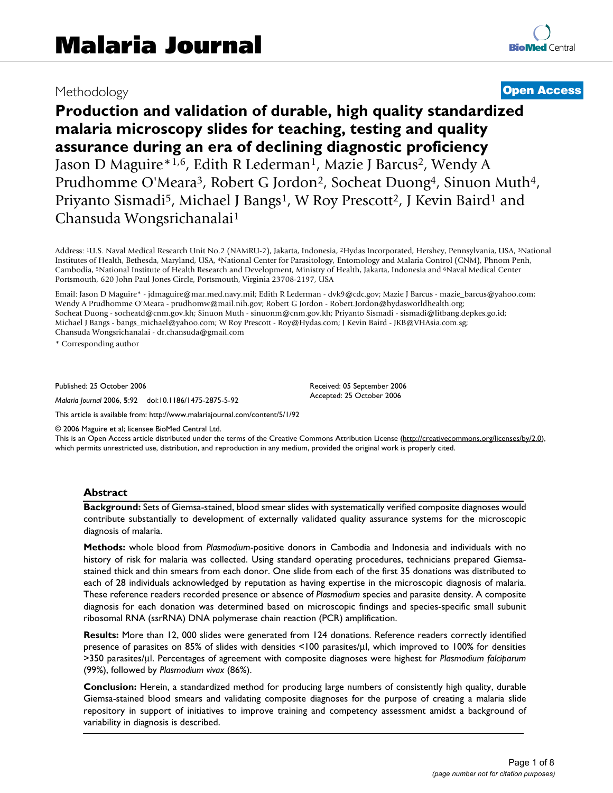## Methodology **[Open Access](http://www.biomedcentral.com/info/about/charter/)**

# **Production and validation of durable, high quality standardized malaria microscopy slides for teaching, testing and quality assurance during an era of declining diagnostic proficiency** Jason D Maguire\*<sup>1,6</sup>, Edith R Lederman<sup>1</sup>, Mazie J Barcus<sup>2</sup>, Wendy A Prudhomme O'Meara<sup>3</sup>, Robert G Jordon<sup>2</sup>, Socheat Duong<sup>4</sup>, Sinuon Muth<sup>4</sup>, Priyanto Sismadi<sup>5</sup>, Michael J Bangs<sup>1</sup>, W Roy Prescott<sup>2</sup>, J Kevin Baird<sup>1</sup> and Chansuda Wongsrichanalai1

Address: 1U.S. Naval Medical Research Unit No.2 (NAMRU-2), Jakarta, Indonesia, 2Hydas Incorporated, Hershey, Pennsylvania, USA, 3National Institutes of Health, Bethesda, Maryland, USA, 4National Center for Parasitology, Entomology and Malaria Control (CNM), Phnom Penh, Cambodia, 5National Institute of Health Research and Development, Ministry of Health, Jakarta, Indonesia and 6Naval Medical Center Portsmouth, 620 John Paul Jones Circle, Portsmouth, Virginia 23708-2197, USA

Email: Jason D Maguire\* - jdmaguire@mar.med.navy.mil; Edith R Lederman - dvk9@cdc.gov; Mazie J Barcus - mazie\_barcus@yahoo.com; Wendy A Prudhomme O'Meara - prudhomw@mail.nih.gov; Robert G Jordon - Robert.Jordon@hydasworldhealth.org; Socheat Duong - socheatd@cnm.gov.kh; Sinuon Muth - sinuonm@cnm.gov.kh; Priyanto Sismadi - sismadi@litbang.depkes.go.id; Michael J Bangs - bangs\_michael@yahoo.com; W Roy Prescott - Roy@Hydas.com; J Kevin Baird - JKB@VHAsia.com.sg; Chansuda Wongsrichanalai - dr.chansuda@gmail.com

\* Corresponding author

Published: 25 October 2006

*Malaria Journal* 2006, **5**:92 doi:10.1186/1475-2875-5-92

[This article is available from: http://www.malariajournal.com/content/5/1/92](http://www.malariajournal.com/content/5/1/92)

© 2006 Maguire et al; licensee BioMed Central Ltd.

This is an Open Access article distributed under the terms of the Creative Commons Attribution License [\(http://creativecommons.org/licenses/by/2.0\)](http://creativecommons.org/licenses/by/2.0), which permits unrestricted use, distribution, and reproduction in any medium, provided the original work is properly cited.

Received: 05 September 2006 Accepted: 25 October 2006

#### **Abstract**

**Background:** Sets of Giemsa-stained, blood smear slides with systematically verified composite diagnoses would contribute substantially to development of externally validated quality assurance systems for the microscopic diagnosis of malaria.

**Methods:** whole blood from *Plasmodium*-positive donors in Cambodia and Indonesia and individuals with no history of risk for malaria was collected. Using standard operating procedures, technicians prepared Giemsastained thick and thin smears from each donor. One slide from each of the first 35 donations was distributed to each of 28 individuals acknowledged by reputation as having expertise in the microscopic diagnosis of malaria. These reference readers recorded presence or absence of *Plasmodium* species and parasite density. A composite diagnosis for each donation was determined based on microscopic findings and species-specific small subunit ribosomal RNA (ssrRNA) DNA polymerase chain reaction (PCR) amplification.

**Results:** More than 12, 000 slides were generated from 124 donations. Reference readers correctly identified presence of parasites on 85% of slides with densities <100 parasites/μl, which improved to 100% for densities >350 parasites/μl. Percentages of agreement with composite diagnoses were highest for *Plasmodium falciparum* (99%), followed by *Plasmodium vivax* (86%).

**Conclusion:** Herein, a standardized method for producing large numbers of consistently high quality, durable Giemsa-stained blood smears and validating composite diagnoses for the purpose of creating a malaria slide repository in support of initiatives to improve training and competency assessment amidst a background of variability in diagnosis is described.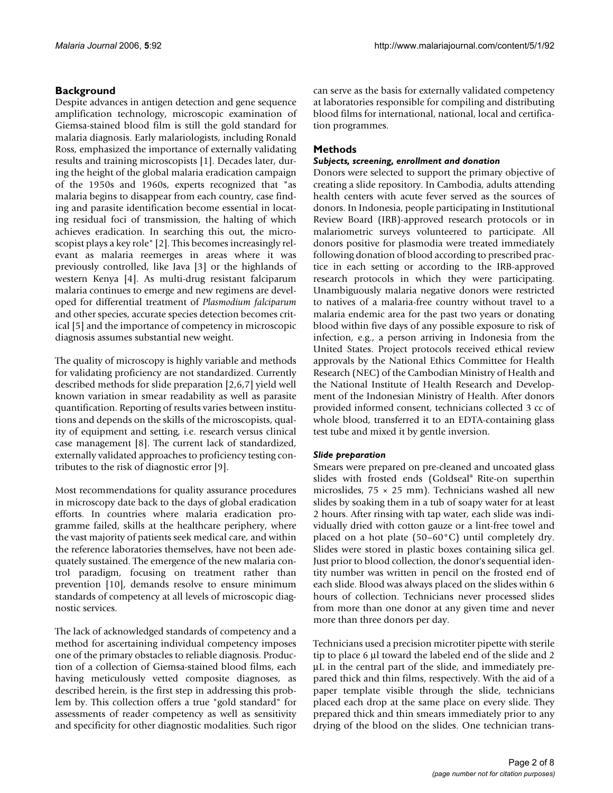### **Background**

Despite advances in antigen detection and gene sequence amplification technology, microscopic examination of Giemsa-stained blood film is still the gold standard for malaria diagnosis. Early malariologists, including Ronald Ross, emphasized the importance of externally validating results and training microscopists [1]. Decades later, during the height of the global malaria eradication campaign of the 1950s and 1960s, experts recognized that "as malaria begins to disappear from each country, case finding and parasite identification become essential in locating residual foci of transmission, the halting of which achieves eradication. In searching this out, the microscopist plays a key role" [2]. This becomes increasingly relevant as malaria reemerges in areas where it was previously controlled, like Java [3] or the highlands of western Kenya [4]. As multi-drug resistant falciparum malaria continues to emerge and new regimens are developed for differential treatment of *Plasmodium falciparum* and other species, accurate species detection becomes critical [5] and the importance of competency in microscopic diagnosis assumes substantial new weight.

The quality of microscopy is highly variable and methods for validating proficiency are not standardized. Currently described methods for slide preparation [2,6,7] yield well known variation in smear readability as well as parasite quantification. Reporting of results varies between institutions and depends on the skills of the microscopists, quality of equipment and setting, i.e. research versus clinical case management [8]. The current lack of standardized, externally validated approaches to proficiency testing contributes to the risk of diagnostic error [9].

Most recommendations for quality assurance procedures in microscopy date back to the days of global eradication efforts. In countries where malaria eradication programme failed, skills at the healthcare periphery, where the vast majority of patients seek medical care, and within the reference laboratories themselves, have not been adequately sustained. The emergence of the new malaria control paradigm, focusing on treatment rather than prevention [10], demands resolve to ensure minimum standards of competency at all levels of microscopic diagnostic services.

The lack of acknowledged standards of competency and a method for ascertaining individual competency imposes one of the primary obstacles to reliable diagnosis. Production of a collection of Giemsa-stained blood films, each having meticulously vetted composite diagnoses, as described herein, is the first step in addressing this problem by. This collection offers a true "gold standard" for assessments of reader competency as well as sensitivity and specificity for other diagnostic modalities. Such rigor can serve as the basis for externally validated competency at laboratories responsible for compiling and distributing blood films for international, national, local and certification programmes.

#### **Methods**

#### *Subjects, screening, enrollment and donation*

Donors were selected to support the primary objective of creating a slide repository. In Cambodia, adults attending health centers with acute fever served as the sources of donors. In Indonesia, people participating in Institutional Review Board (IRB)-approved research protocols or in malariometric surveys volunteered to participate. All donors positive for plasmodia were treated immediately following donation of blood according to prescribed practice in each setting or according to the IRB-approved research protocols in which they were participating. Unambiguously malaria negative donors were restricted to natives of a malaria-free country without travel to a malaria endemic area for the past two years or donating blood within five days of any possible exposure to risk of infection, e.g., a person arriving in Indonesia from the United States. Project protocols received ethical review approvals by the National Ethics Committee for Health Research (NEC) of the Cambodian Ministry of Health and the National Institute of Health Research and Development of the Indonesian Ministry of Health. After donors provided informed consent, technicians collected 3 cc of whole blood, transferred it to an EDTA-containing glass test tube and mixed it by gentle inversion.

#### *Slide preparation*

Smears were prepared on pre-cleaned and uncoated glass slides with frosted ends (Goldseal® Rite-on superthin microslides,  $75 \times 25$  mm). Technicians washed all new slides by soaking them in a tub of soapy water for at least 2 hours. After rinsing with tap water, each slide was individually dried with cotton gauze or a lint-free towel and placed on a hot plate (50–60°C) until completely dry. Slides were stored in plastic boxes containing silica gel. Just prior to blood collection, the donor's sequential identity number was written in pencil on the frosted end of each slide. Blood was always placed on the slides within 6 hours of collection. Technicians never processed slides from more than one donor at any given time and never more than three donors per day.

Technicians used a precision microtiter pipette with sterile tip to place 6 μl toward the labeled end of the slide and 2 μL in the central part of the slide, and immediately prepared thick and thin films, respectively. With the aid of a paper template visible through the slide, technicians placed each drop at the same place on every slide. They prepared thick and thin smears immediately prior to any drying of the blood on the slides. One technician trans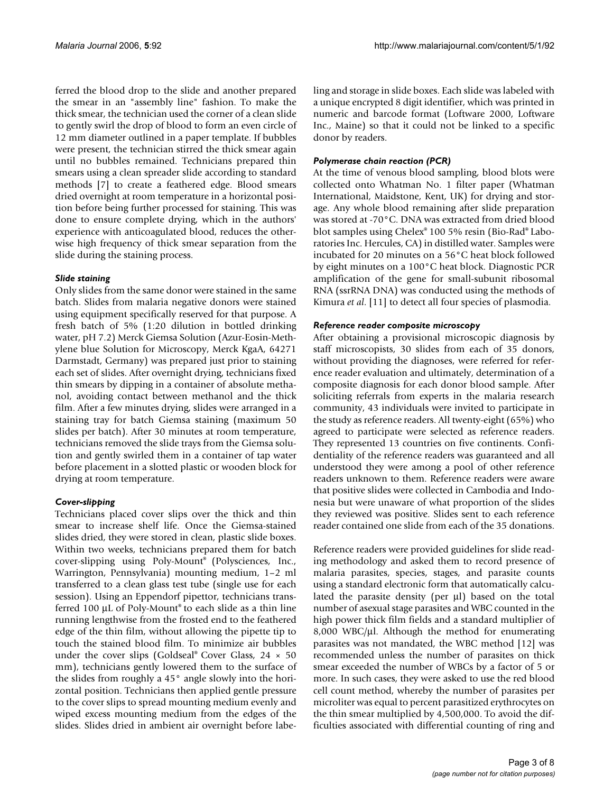ferred the blood drop to the slide and another prepared the smear in an "assembly line" fashion. To make the thick smear, the technician used the corner of a clean slide to gently swirl the drop of blood to form an even circle of 12 mm diameter outlined in a paper template. If bubbles were present, the technician stirred the thick smear again until no bubbles remained. Technicians prepared thin smears using a clean spreader slide according to standard methods [7] to create a feathered edge. Blood smears dried overnight at room temperature in a horizontal position before being further processed for staining. This was done to ensure complete drying, which in the authors' experience with anticoagulated blood, reduces the otherwise high frequency of thick smear separation from the slide during the staining process.

#### *Slide staining*

Only slides from the same donor were stained in the same batch. Slides from malaria negative donors were stained using equipment specifically reserved for that purpose. A fresh batch of 5% (1:20 dilution in bottled drinking water, pH 7.2) Merck Giemsa Solution (Azur-Eosin-Methylene blue Solution for Microscopy, Merck KgaA, 64271 Darmstadt, Germany) was prepared just prior to staining each set of slides. After overnight drying, technicians fixed thin smears by dipping in a container of absolute methanol, avoiding contact between methanol and the thick film. After a few minutes drying, slides were arranged in a staining tray for batch Giemsa staining (maximum 50 slides per batch). After 30 minutes at room temperature, technicians removed the slide trays from the Giemsa solution and gently swirled them in a container of tap water before placement in a slotted plastic or wooden block for drying at room temperature.

### *Cover-slipping*

Technicians placed cover slips over the thick and thin smear to increase shelf life. Once the Giemsa-stained slides dried, they were stored in clean, plastic slide boxes. Within two weeks, technicians prepared them for batch cover-slipping using Poly-Mount® (Polysciences, Inc., Warrington, Pennsylvania) mounting medium, 1–2 ml transferred to a clean glass test tube (single use for each session). Using an Eppendorf pipettor, technicians transferred 100 μL of Poly-Mount® to each slide as a thin line running lengthwise from the frosted end to the feathered edge of the thin film, without allowing the pipette tip to touch the stained blood film. To minimize air bubbles under the cover slips (Goldseal® Cover Glass,  $24 \times 50$ mm), technicians gently lowered them to the surface of the slides from roughly a 45° angle slowly into the horizontal position. Technicians then applied gentle pressure to the cover slips to spread mounting medium evenly and wiped excess mounting medium from the edges of the slides. Slides dried in ambient air overnight before labeling and storage in slide boxes. Each slide was labeled with a unique encrypted 8 digit identifier, which was printed in numeric and barcode format (Loftware 2000, Loftware Inc., Maine) so that it could not be linked to a specific donor by readers.

#### *Polymerase chain reaction (PCR)*

At the time of venous blood sampling, blood blots were collected onto Whatman No. 1 filter paper (Whatman International, Maidstone, Kent, UK) for drying and storage. Any whole blood remaining after slide preparation was stored at -70°C. DNA was extracted from dried blood blot samples using Chelex® 100 5% resin (Bio-Rad® Laboratories Inc. Hercules, CA) in distilled water. Samples were incubated for 20 minutes on a 56°C heat block followed by eight minutes on a 100°C heat block. Diagnostic PCR amplification of the gene for small-subunit ribosomal RNA (ssrRNA DNA) was conducted using the methods of Kimura *et al*. [11] to detect all four species of plasmodia.

#### *Reference reader composite microscopy*

After obtaining a provisional microscopic diagnosis by staff microscopists, 30 slides from each of 35 donors, without providing the diagnoses, were referred for reference reader evaluation and ultimately, determination of a composite diagnosis for each donor blood sample. After soliciting referrals from experts in the malaria research community, 43 individuals were invited to participate in the study as reference readers. All twenty-eight (65%) who agreed to participate were selected as reference readers. They represented 13 countries on five continents. Confidentiality of the reference readers was guaranteed and all understood they were among a pool of other reference readers unknown to them. Reference readers were aware that positive slides were collected in Cambodia and Indonesia but were unaware of what proportion of the slides they reviewed was positive. Slides sent to each reference reader contained one slide from each of the 35 donations.

Reference readers were provided guidelines for slide reading methodology and asked them to record presence of malaria parasites, species, stages, and parasite counts using a standard electronic form that automatically calculated the parasite density (per μl) based on the total number of asexual stage parasites and WBC counted in the high power thick film fields and a standard multiplier of 8,000 WBC/μl. Although the method for enumerating parasites was not mandated, the WBC method [12] was recommended unless the number of parasites on thick smear exceeded the number of WBCs by a factor of 5 or more. In such cases, they were asked to use the red blood cell count method, whereby the number of parasites per microliter was equal to percent parasitized erythrocytes on the thin smear multiplied by 4,500,000. To avoid the difficulties associated with differential counting of ring and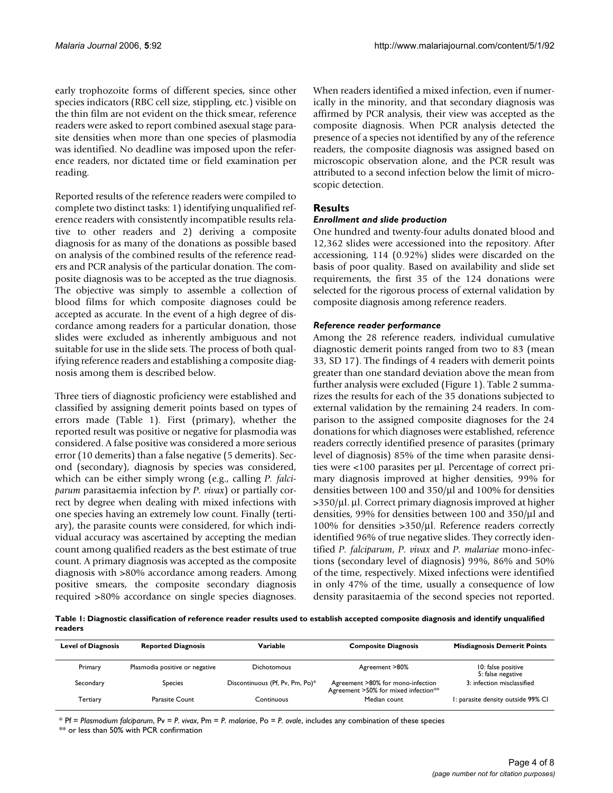early trophozoite forms of different species, since other species indicators (RBC cell size, stippling, etc.) visible on the thin film are not evident on the thick smear, reference readers were asked to report combined asexual stage parasite densities when more than one species of plasmodia was identified. No deadline was imposed upon the reference readers, nor dictated time or field examination per reading.

Reported results of the reference readers were compiled to complete two distinct tasks: 1) identifying unqualified reference readers with consistently incompatible results relative to other readers and 2) deriving a composite diagnosis for as many of the donations as possible based on analysis of the combined results of the reference readers and PCR analysis of the particular donation. The composite diagnosis was to be accepted as the true diagnosis. The objective was simply to assemble a collection of blood films for which composite diagnoses could be accepted as accurate. In the event of a high degree of discordance among readers for a particular donation, those slides were excluded as inherently ambiguous and not suitable for use in the slide sets. The process of both qualifying reference readers and establishing a composite diagnosis among them is described below.

Three tiers of diagnostic proficiency were established and classified by assigning demerit points based on types of errors made (Table 1). First (primary), whether the reported result was positive or negative for plasmodia was considered. A false positive was considered a more serious error (10 demerits) than a false negative (5 demerits). Second (secondary), diagnosis by species was considered, which can be either simply wrong (e.g., calling *P. falciparum* parasitaemia infection by *P. vivax*) or partially correct by degree when dealing with mixed infections with one species having an extremely low count. Finally (tertiary), the parasite counts were considered, for which individual accuracy was ascertained by accepting the median count among qualified readers as the best estimate of true count. A primary diagnosis was accepted as the composite diagnosis with >80% accordance among readers. Among positive smears, the composite secondary diagnosis required >80% accordance on single species diagnoses. When readers identified a mixed infection, even if numerically in the minority, and that secondary diagnosis was affirmed by PCR analysis, their view was accepted as the composite diagnosis. When PCR analysis detected the presence of a species not identified by any of the reference readers, the composite diagnosis was assigned based on microscopic observation alone, and the PCR result was attributed to a second infection below the limit of microscopic detection.

#### **Results**

#### *Enrollment and slide production*

One hundred and twenty-four adults donated blood and 12,362 slides were accessioned into the repository. After accessioning, 114 (0.92%) slides were discarded on the basis of poor quality. Based on availability and slide set requirements, the first 35 of the 124 donations were selected for the rigorous process of external validation by composite diagnosis among reference readers.

#### *Reference reader performance*

Among the 28 reference readers, individual cumulative diagnostic demerit points ranged from two to 83 (mean 33, SD 17). The findings of 4 readers with demerit points greater than one standard deviation above the mean from further analysis were excluded (Figure 1). Table 2 summarizes the results for each of the 35 donations subjected to external validation by the remaining 24 readers. In comparison to the assigned composite diagnoses for the 24 donations for which diagnoses were established, reference readers correctly identified presence of parasites (primary level of diagnosis) 85% of the time when parasite densities were <100 parasites per μl. Percentage of correct primary diagnosis improved at higher densities, 99% for densities between 100 and 350/μl and 100% for densities >350/μl. μl. Correct primary diagnosis improved at higher densities, 99% for densities between 100 and 350/μl and 100% for densities >350/μl. Reference readers correctly identified 96% of true negative slides. They correctly identified *P. falciparum*, *P. vivax* and *P. malariae* mono-infections (secondary level of diagnosis) 99%, 86% and 50% of the time, respectively. Mixed infections were identified in only 47% of the time, usually a consequence of low density parasitaemia of the second species not reported.

**Table 1: Diagnostic classification of reference reader results used to establish accepted composite diagnosis and identify unqualified readers**

| <b>Level of Diagnosis</b> | <b>Reported Diagnosis</b>      | Variable                        | <b>Composite Diagnosis</b>                                                            | <b>Misdiagnosis Demerit Points</b>      |
|---------------------------|--------------------------------|---------------------------------|---------------------------------------------------------------------------------------|-----------------------------------------|
| Primary                   | Plasmodia positive or negative | <b>Dichotomous</b>              | Agreement >80%                                                                        | 10: false positive<br>5: false negative |
| Secondary                 | <b>Species</b>                 | Discontinuous (Pf, Pv, Pm, Po)* | Agreement >80% for mono-infection<br>Agreement >50% for mixed infection <sup>**</sup> | 3: infection misclassified              |
| Tertiary                  | Parasite Count                 | Continuous                      | Median count                                                                          | I: parasite density outside 99% CI      |

\* Pf = *Plasmodium falciparum*, Pv = *P. vivax*, Pm = *P. malariae*, Po = *P. ovale*, includes any combination of these species

\*\* or less than 50% with PCR confirmation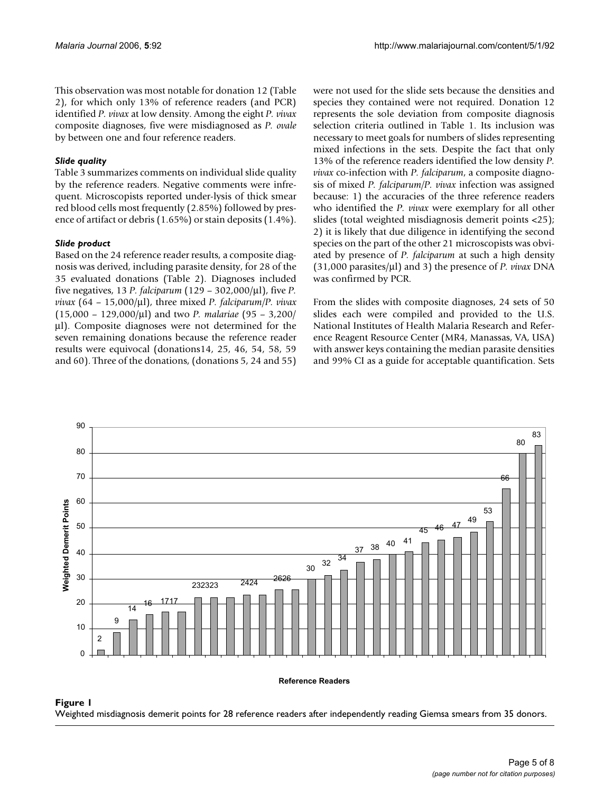This observation was most notable for donation 12 (Table 2), for which only 13% of reference readers (and PCR) identified *P. vivax* at low density. Among the eight *P. vivax* composite diagnoses, five were misdiagnosed as *P. ovale* by between one and four reference readers.

#### *Slide quality*

Table 3 summarizes comments on individual slide quality by the reference readers. Negative comments were infrequent. Microscopists reported under-lysis of thick smear red blood cells most frequently (2.85%) followed by presence of artifact or debris (1.65%) or stain deposits (1.4%).

#### *Slide product*

Based on the 24 reference reader results, a composite diagnosis was derived, including parasite density, for 28 of the 35 evaluated donations (Table 2). Diagnoses included five negatives, 13 *P. falciparum* (129 – 302,000/μl), five *P. vivax* (64 – 15,000/μl), three mixed *P. falciparum/P. vivax* (15,000 – 129,000/μl) and two *P. malariae* (95 – 3,200/ μl). Composite diagnoses were not determined for the seven remaining donations because the reference reader results were equivocal (donations14, 25, 46, 54, 58, 59 and 60). Three of the donations, (donations 5, 24 and 55) were not used for the slide sets because the densities and species they contained were not required. Donation 12 represents the sole deviation from composite diagnosis selection criteria outlined in Table 1. Its inclusion was necessary to meet goals for numbers of slides representing mixed infections in the sets. Despite the fact that only 13% of the reference readers identified the low density *P. vivax* co-infection with *P. falciparum*, a composite diagnosis of mixed *P. falciparum/P. vivax* infection was assigned because: 1) the accuracies of the three reference readers who identified the *P. vivax* were exemplary for all other slides (total weighted misdiagnosis demerit points <25); 2) it is likely that due diligence in identifying the second species on the part of the other 21 microscopists was obviated by presence of *P. falciparum* at such a high density (31,000 parasites/μl) and 3) the presence of *P. vivax* DNA was confirmed by PCR.

From the slides with composite diagnoses, 24 sets of 50 slides each were compiled and provided to the U.S. National Institutes of Health Malaria Research and Reference Reagent Resource Center (MR4, Manassas, VA, USA) with answer keys containing the median parasite densities and 99% CI as a guide for acceptable quantification. Sets



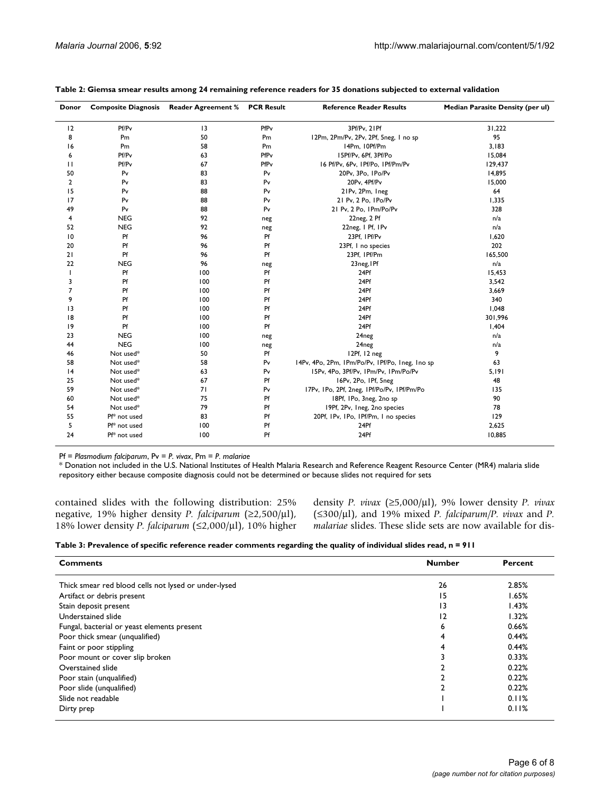| <b>Donor</b>    | <b>Composite Diagnosis</b> | <b>Reader Agreement % PCR Result</b> |                  | <b>Reference Reader Results</b>                 | Median Parasite Density (per ul) |
|-----------------|----------------------------|--------------------------------------|------------------|-------------------------------------------------|----------------------------------|
| 12              | Pf/P <sub>v</sub>          | $\overline{13}$                      | PfP <sub>v</sub> | 3Pf/Pv, 21Pf                                    | 31,222                           |
| 8               | Pm                         | 50                                   | Pm               | 12Pm, 2Pm/Pv, 2Pv, 2Pf, 5neg, 1 no sp           | 95                               |
| 16              | Pm                         | 58                                   | Pm               | 14Pm, 10Pf/Pm                                   | 3,183                            |
| 6               | Pf/P <sub>v</sub>          | 63                                   | PfPv             | I 5Pf/Pv, 6Pf, 3Pf/Po                           | 15,084                           |
| $\mathbf{H}$    | Pf/P <sub>v</sub>          | 67                                   | PfP <sub>v</sub> | 16 Pf/Pv, 6Pv, 1Pf/Po, 1Pf/Pm/Pv                | 129,437                          |
| 50              | Pv                         | 83                                   | P <sub>V</sub>   | 20Pv, 3Po, IPo/Pv                               | 14,895                           |
| 2               | P <sub>V</sub>             | 83                                   | P <sub>V</sub>   | 20Pv, 4Pf/Pv                                    | 15,000                           |
| 15              | P <sub>V</sub>             | 88                                   | P <sub>V</sub>   | 21Pv, 2Pm, Ineg                                 | 64                               |
| 17              | P <sub>V</sub>             | 88                                   | P <sub>V</sub>   | 21 Pv, 2 Po, 1Po/Pv                             | 1,335                            |
| 49              | P <sub>V</sub>             | 88                                   | P <sub>V</sub>   | 21 Pv, 2 Po, 1Pm/Po/Pv                          | 328                              |
| $\overline{4}$  | <b>NEG</b>                 | 92                                   | neg              | 22neg, 2 Pf                                     | n/a                              |
| 52              | <b>NEG</b>                 | 92                                   | neg              | 22neg, I Pf, IPv                                | n/a                              |
| $\overline{10}$ | Pf                         | 96                                   | Pf               | 23Pf, IPf/Pv                                    | 1,620                            |
| 20              | Pf                         | 96                                   | Pf               | 23Pf, I no species                              | 202                              |
| 21              | Pf                         | 96                                   | Pf               | 23Pf, IPf/Pm                                    | 165,500                          |
| 22              | <b>NEG</b>                 | 96                                   | neg              | 23neg, IPf                                      | n/a                              |
| т               | Pf                         | 100                                  | Pf               | 24Pf                                            | 15,453                           |
| 3               | Pf                         | 100                                  | Pf               | 24Pf                                            | 3,542                            |
| 7               | Pf                         | 100                                  | Pf               | 24Pf                                            | 3,669                            |
| 9               | Pf                         | 100                                  | Pf               | 24Pf                                            | 340                              |
| 13              | Pf                         | 100                                  | Pf               | 24Pf                                            | 1,048                            |
| 8               | Pf                         | 100                                  | Pf               | 24Pf                                            | 301,996                          |
| 9               | Pf                         | 100                                  | Pf               | 24Pf                                            | 1,404                            |
| 23              | <b>NEG</b>                 | 100                                  | neg              | 24neg                                           | n/a                              |
| 44              | <b>NEG</b>                 | 100                                  | neg              | 24neg                                           | n/a                              |
| 46              | Not used*                  | 50                                   | Pf               | 12Pf, 12 neg                                    | 9                                |
| 58              | Not used*                  | 58                                   | P <sub>V</sub>   | 14Pv, 4Po, 2Pm, 1Pm/Po/Pv, 1Pf/Po, 1neg, 1no sp | 63                               |
| 4               | Not used*                  | 63                                   | Pv               | 15Pv, 4Po, 3Pf/Pv, 1Pm/Pv, 1Pm/Po/Pv            | 5,191                            |
| 25              | Not used*                  | 67                                   | Pf               | 16Pv, 2Po, 1Pf, 5neg                            | 48                               |
| 59              | Not used*                  | 71                                   | P <sub>V</sub>   | 17Pv, IPo, 2Pf, 2neg, IPf/Po/Pv, IPf/Pm/Po      | 135                              |
| 60              | Not used*                  | 75                                   | Pf               | 18Pf, IPo, 3neg, 2no sp                         | 90                               |
| 54              | Not used*                  | 79                                   | Pf               | 19Pf, 2Pv, Ineg, 2no species                    | 78                               |
| 55              | Pf <sup>*</sup> not used   | 83                                   | Pf               | 20Pf, IPv, IPo, IPf/Pm, I no species            | 129                              |
| 5               | Pf <sup>*</sup> not used   | 100                                  | Pf               | 24Pf                                            | 2,625                            |
| 24              | Pf* not used               | 100                                  | Pf               | 24Pf                                            | 10,885                           |

Pf = *Plasmodium falciparum*, Pv = *P. vivax*, Pm = *P. malariae*

\* Donation not included in the U.S. National Institutes of Health Malaria Research and Reference Reagent Resource Center (MR4) malaria slide repository either because composite diagnosis could not be determined or because slides not required for sets

contained slides with the following distribution: 25% negative, 19% higher density *P. falciparum* (≥2,500/μl), 18% lower density *P. falciparum* (≤2,000/μl), 10% higher density *P. vivax* (≥5,000/μl), 9% lower density *P. vivax* (≤300/μl), and 19% mixed *P. falciparum/P. vivax* and *P. malariae* slides. These slide sets are now available for dis-

| Table 3: Prevalence of specific reference reader comments regarding the quality of individual slides read, n = 911 |  |  |
|--------------------------------------------------------------------------------------------------------------------|--|--|
|--------------------------------------------------------------------------------------------------------------------|--|--|

| <b>Comments</b>                                      | <b>Number</b> | Percent |
|------------------------------------------------------|---------------|---------|
| Thick smear red blood cells not lysed or under-lysed | 26            | 2.85%   |
| Artifact or debris present                           | 15            | 1.65%   |
| Stain deposit present                                | 13            | 1.43%   |
| Understained slide                                   | 12            | 1.32%   |
| Fungal, bacterial or yeast elements present          | 6             | 0.66%   |
| Poor thick smear (unqualified)                       |               | 0.44%   |
| Faint or poor stippling                              |               | 0.44%   |
| Poor mount or cover slip broken                      |               | 0.33%   |
| Overstained slide                                    |               | 0.22%   |
| Poor stain (unqualified)                             |               | 0.22%   |
| Poor slide (unqualified)                             |               | 0.22%   |
| Slide not readable                                   |               | 0.11%   |
| Dirty prep                                           |               | 0.11%   |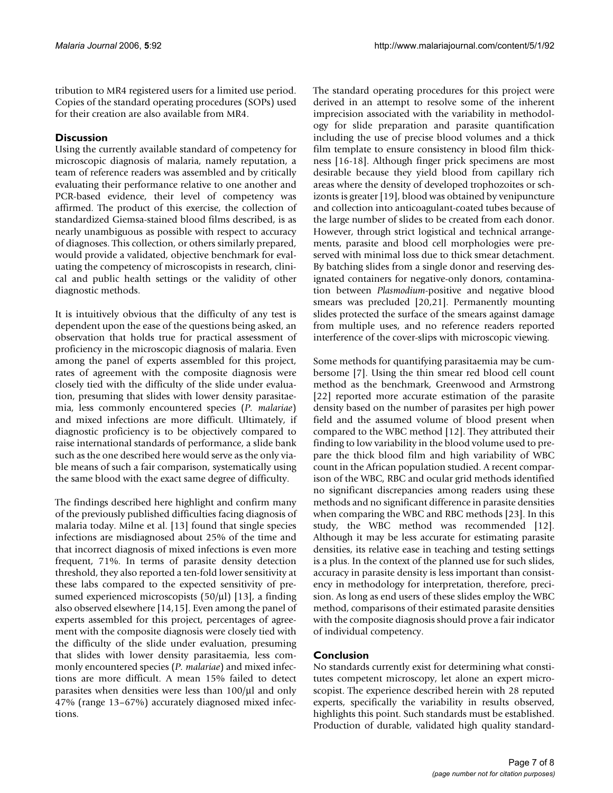tribution to MR4 registered users for a limited use period. Copies of the standard operating procedures (SOPs) used for their creation are also available from MR4.

#### **Discussion**

Using the currently available standard of competency for microscopic diagnosis of malaria, namely reputation, a team of reference readers was assembled and by critically evaluating their performance relative to one another and PCR-based evidence, their level of competency was affirmed. The product of this exercise, the collection of standardized Giemsa-stained blood films described, is as nearly unambiguous as possible with respect to accuracy of diagnoses. This collection, or others similarly prepared, would provide a validated, objective benchmark for evaluating the competency of microscopists in research, clinical and public health settings or the validity of other diagnostic methods.

It is intuitively obvious that the difficulty of any test is dependent upon the ease of the questions being asked, an observation that holds true for practical assessment of proficiency in the microscopic diagnosis of malaria. Even among the panel of experts assembled for this project, rates of agreement with the composite diagnosis were closely tied with the difficulty of the slide under evaluation, presuming that slides with lower density parasitaemia, less commonly encountered species (*P. malariae*) and mixed infections are more difficult. Ultimately, if diagnostic proficiency is to be objectively compared to raise international standards of performance, a slide bank such as the one described here would serve as the only viable means of such a fair comparison, systematically using the same blood with the exact same degree of difficulty.

The findings described here highlight and confirm many of the previously published difficulties facing diagnosis of malaria today. Milne et al. [13] found that single species infections are misdiagnosed about 25% of the time and that incorrect diagnosis of mixed infections is even more frequent, 71%. In terms of parasite density detection threshold, they also reported a ten-fold lower sensitivity at these labs compared to the expected sensitivity of presumed experienced microscopists (50/μl) [13], a finding also observed elsewhere [14,15]. Even among the panel of experts assembled for this project, percentages of agreement with the composite diagnosis were closely tied with the difficulty of the slide under evaluation, presuming that slides with lower density parasitaemia, less commonly encountered species (*P. malariae*) and mixed infections are more difficult. A mean 15% failed to detect parasites when densities were less than 100/μl and only 47% (range 13–67%) accurately diagnosed mixed infections.

The standard operating procedures for this project were derived in an attempt to resolve some of the inherent imprecision associated with the variability in methodology for slide preparation and parasite quantification including the use of precise blood volumes and a thick film template to ensure consistency in blood film thickness [16-18]. Although finger prick specimens are most desirable because they yield blood from capillary rich areas where the density of developed trophozoites or schizonts is greater [19], blood was obtained by venipuncture and collection into anticoagulant-coated tubes because of the large number of slides to be created from each donor. However, through strict logistical and technical arrangements, parasite and blood cell morphologies were preserved with minimal loss due to thick smear detachment. By batching slides from a single donor and reserving designated containers for negative-only donors, contamination between *Plasmodium*-positive and negative blood smears was precluded [20,21]. Permanently mounting slides protected the surface of the smears against damage from multiple uses, and no reference readers reported interference of the cover-slips with microscopic viewing.

Some methods for quantifying parasitaemia may be cumbersome [7]. Using the thin smear red blood cell count method as the benchmark, Greenwood and Armstrong [22] reported more accurate estimation of the parasite density based on the number of parasites per high power field and the assumed volume of blood present when compared to the WBC method [12]. They attributed their finding to low variability in the blood volume used to prepare the thick blood film and high variability of WBC count in the African population studied. A recent comparison of the WBC, RBC and ocular grid methods identified no significant discrepancies among readers using these methods and no significant difference in parasite densities when comparing the WBC and RBC methods [23]. In this study, the WBC method was recommended [12]. Although it may be less accurate for estimating parasite densities, its relative ease in teaching and testing settings is a plus. In the context of the planned use for such slides, accuracy in parasite density is less important than consistency in methodology for interpretation, therefore, precision. As long as end users of these slides employ the WBC method, comparisons of their estimated parasite densities with the composite diagnosis should prove a fair indicator of individual competency.

#### **Conclusion**

No standards currently exist for determining what constitutes competent microscopy, let alone an expert microscopist. The experience described herein with 28 reputed experts, specifically the variability in results observed, highlights this point. Such standards must be established. Production of durable, validated high quality standard